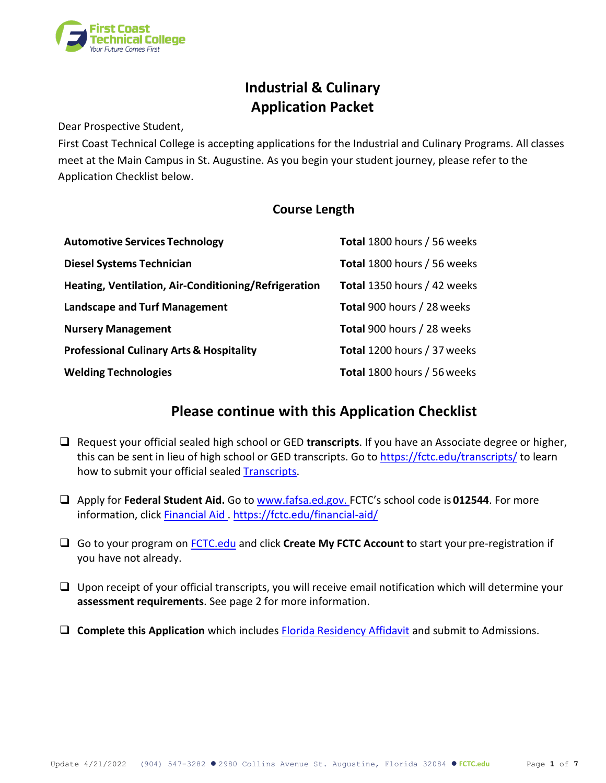

# **Industrial & Culinary Application Packet**

Dear Prospective Student,

First Coast Technical College is accepting applications for the Industrial and Culinary Programs. All classes meet at the Main Campus in St. Augustine. As you begin your student journey, please refer to the Application Checklist below.

## **Course Length**

| <b>Automotive Services Technology</b>                | Total 1800 hours / 56 weeks |
|------------------------------------------------------|-----------------------------|
| <b>Diesel Systems Technician</b>                     | Total 1800 hours / 56 weeks |
| Heating, Ventilation, Air-Conditioning/Refrigeration | Total 1350 hours / 42 weeks |
| <b>Landscape and Turf Management</b>                 | Total 900 hours / 28 weeks  |
| <b>Nursery Management</b>                            | Total 900 hours / 28 weeks  |
| <b>Professional Culinary Arts &amp; Hospitality</b>  | Total 1200 hours / 37 weeks |
| <b>Welding Technologies</b>                          | Total 1800 hours / 56 weeks |

## **Please continue with this Application Checklist**

- Request your official sealed high school or GED **transcripts**. If you have an Associate degree or higher, this can be sent in lieu of high school or GED transcripts. Go to <https://fctc.edu/transcripts/> to learn how to submit your official sealed **Transcripts**.
- Apply for **Federal Student Aid.** Go to www.fafsa.ed.gov. FCTC's school code is **012544**. For more information, clic[k Financial Aid .](https://fctc.edu/financial-aid/) <https://fctc.edu/financial-aid/>
- Go to your program on [FCTC.edu](https://fctc.edu/) and click **Create My FCTC Account t**o start your pre-registration if you have not already.
- $\Box$  Upon receipt of your official transcripts, you will receive email notification which will determine your **assessment requirements**. See page 2 for more information.
- □ **Complete this Application** which includes **[Florida Residency Affidavit](https://fctc.edu/consumer/florida-residency/)** and submit to Admissions.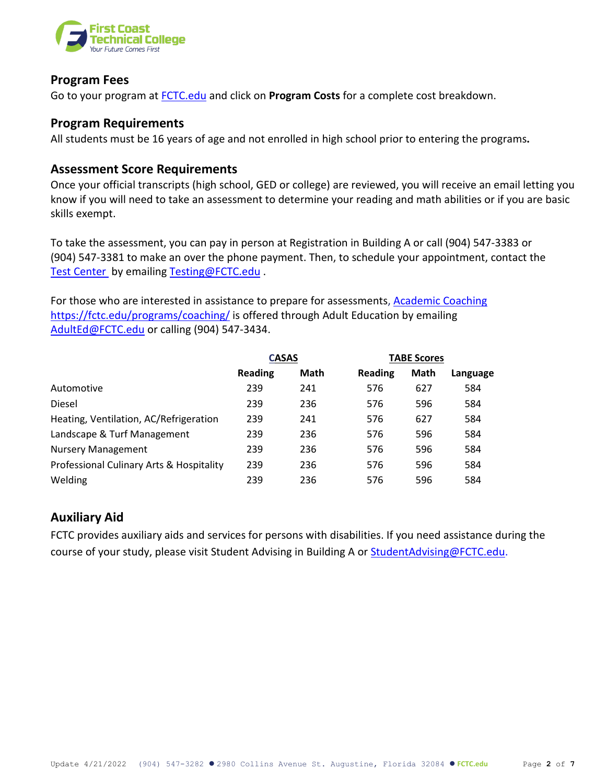

### **Program Fees**

Go to your program at [FCTC.edu](https://fctc.edu/) and click on **Program Costs** for a complete cost breakdown.

## **Program Requirements**

All students must be 16 years of age and not enrolled in high school prior to entering the programs**.**

## **Assessment Score Requirements**

Once your official transcripts (high school, GED or college) are reviewed, you will receive an email letting you know if you will need to take an assessment to determine your reading and math abilities or if you are basic skills exempt.

To take the assessment, you can pay in person at Registration in Building A or call (904) 547-3383 or (904) 547-3381 to make an over the phone payment. Then, to schedule your appointment, contact the [Test Center](https://fctc.edu/assessment/) by emailing [Testing@FCTC.edu](mailto:Testing@FCTC.edu).

For those who are interested in assistance to prepare for assessments, [Academic Coaching](https://fctc.edu/programs/coaching/) <https://fctc.edu/programs/coaching/> is offered through Adult Education by emailing [AdultEd@FCTC.edu](mailto:AdultEd@FCTC.edu) or calling (904) 547-3434.

|                                          | <b>CASAS</b>   |             | <b>TABE Scores</b> |             |          |
|------------------------------------------|----------------|-------------|--------------------|-------------|----------|
|                                          | <b>Reading</b> | <b>Math</b> | <b>Reading</b>     | <b>Math</b> | Language |
| Automotive                               | 239            | 241         | 576                | 627         | 584      |
| <b>Diesel</b>                            | 239            | 236         | 576                | 596         | 584      |
| Heating, Ventilation, AC/Refrigeration   | 239            | 241         | 576                | 627         | 584      |
| Landscape & Turf Management              | 239            | 236         | 576                | 596         | 584      |
| <b>Nursery Management</b>                | 239            | 236         | 576                | 596         | 584      |
| Professional Culinary Arts & Hospitality | 239            | 236         | 576                | 596         | 584      |
| Welding                                  | 239            | 236         | 576                | 596         | 584      |

## **Auxiliary Aid**

FCTC provides auxiliary aids and services for persons with disabilities. If you need assistance during the course of your study, please visit Student Advising in Building A or [StudentAdvising@FCTC.edu.](mailto:StudentAdvising@FCTC.edu)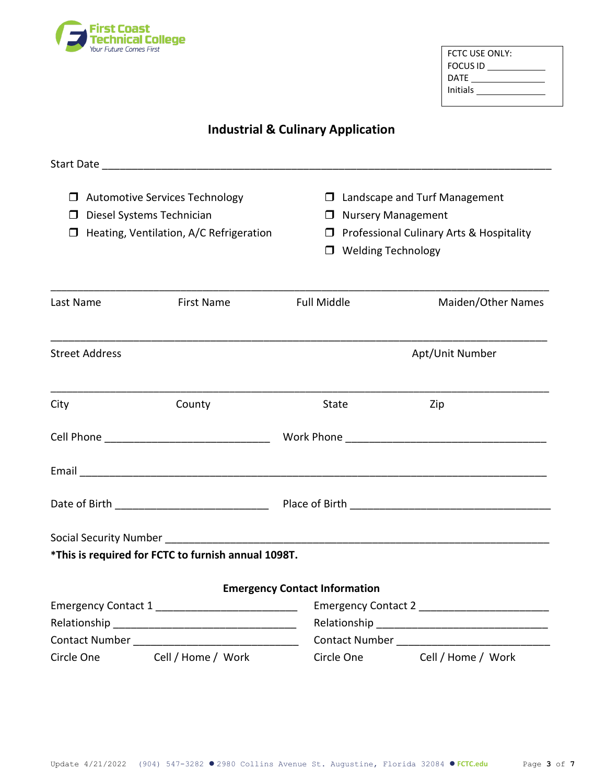

| FCTC USE ONLY:  |  |
|-----------------|--|
| <b>FOCUS ID</b> |  |
| DATE            |  |
| Initials        |  |
|                 |  |

## **Industrial & Culinary Application**

|           | $\Box$ Automotive Services Technology<br>D Diesel Systems Technician<br>$\Box$ Heating, Ventilation, A/C Refrigeration |                                                       |                                      | $\Box$ Landscape and Turf Management<br>□ Nursery Management<br>$\Box$ Professional Culinary Arts & Hospitality<br>$\Box$ Welding Technology |                               |  |  |
|-----------|------------------------------------------------------------------------------------------------------------------------|-------------------------------------------------------|--------------------------------------|----------------------------------------------------------------------------------------------------------------------------------------------|-------------------------------|--|--|
| Last Name |                                                                                                                        | <b>First Name</b>                                     | <b>Full Middle</b>                   |                                                                                                                                              | Maiden/Other Names            |  |  |
|           | <b>Street Address</b>                                                                                                  |                                                       |                                      |                                                                                                                                              | Apt/Unit Number               |  |  |
| City      |                                                                                                                        | County                                                | State                                |                                                                                                                                              | Zip                           |  |  |
|           |                                                                                                                        |                                                       |                                      |                                                                                                                                              |                               |  |  |
|           |                                                                                                                        |                                                       |                                      |                                                                                                                                              |                               |  |  |
|           |                                                                                                                        |                                                       |                                      |                                                                                                                                              |                               |  |  |
|           |                                                                                                                        | *This is required for FCTC to furnish annual 1098T.   |                                      |                                                                                                                                              |                               |  |  |
|           |                                                                                                                        |                                                       |                                      |                                                                                                                                              |                               |  |  |
|           |                                                                                                                        |                                                       | <b>Emergency Contact Information</b> |                                                                                                                                              |                               |  |  |
|           |                                                                                                                        | Emergency Contact 1 _________________________________ |                                      |                                                                                                                                              | Emergency Contact 2           |  |  |
|           |                                                                                                                        |                                                       |                                      |                                                                                                                                              |                               |  |  |
|           |                                                                                                                        | Circle One Cell / Home / Work                         |                                      |                                                                                                                                              | Circle One Cell / Home / Work |  |  |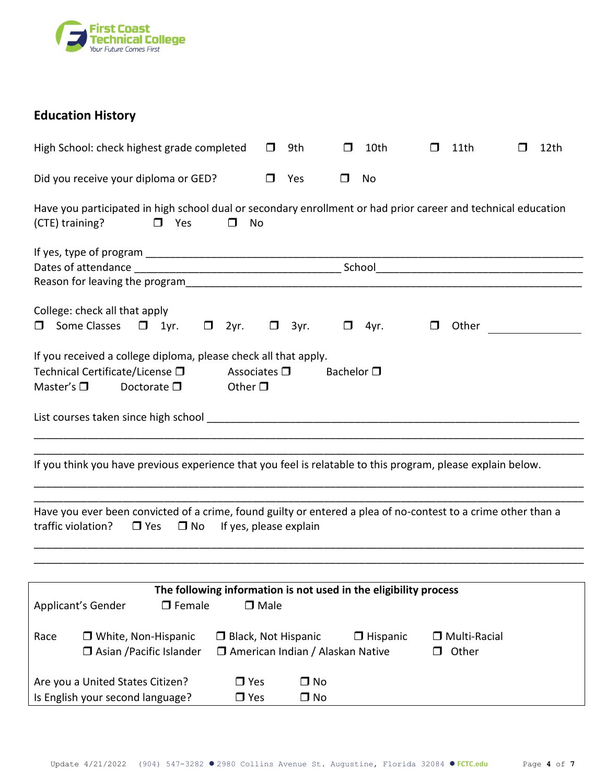

## **Education History**

|                    | High School: check highest grade completed                                                                     |                     |               |                                         | $\mathsf{L}$ | 9th                    | H                                  | 10th            | П                                                                | 11th                    | l 1 | 12th |
|--------------------|----------------------------------------------------------------------------------------------------------------|---------------------|---------------|-----------------------------------------|--------------|------------------------|------------------------------------|-----------------|------------------------------------------------------------------|-------------------------|-----|------|
|                    | Did you receive your diploma or GED?                                                                           |                     |               |                                         | $\Box$       | Yes                    | $\Box$                             | No              |                                                                  |                         |     |      |
| (CTE) training?    | Have you participated in high school dual or secondary enrollment or had prior career and technical education  | $\Box$ Yes          |               | $\Box$<br>No                            |              |                        |                                    |                 |                                                                  |                         |     |      |
|                    |                                                                                                                |                     |               |                                         |              |                        |                                    |                 |                                                                  |                         |     |      |
| $\Box$             | College: check all that apply<br>Some Classes $\Box$ 1yr. $\Box$ 2yr.                                          |                     |               |                                         |              | $\Box$ 3yr.            | $\Box$                             | 4yr.            | $\Box$                                                           | Other                   |     |      |
| Master's $\square$ | If you received a college diploma, please check all that apply.<br>Technical Certificate/License <sup>[]</sup> | Doctorate $\square$ |               | Associates $\square$<br>Other $\square$ |              |                        | Bachelor $\square$                 |                 |                                                                  |                         |     |      |
|                    |                                                                                                                |                     |               |                                         |              |                        |                                    |                 |                                                                  |                         |     |      |
|                    | If you think you have previous experience that you feel is relatable to this program, please explain below.    |                     |               |                                         |              |                        |                                    |                 |                                                                  |                         |     |      |
| traffic violation? | Have you ever been convicted of a crime, found guilty or entered a plea of no-contest to a crime other than a  | $\Box$ Yes          | $\square$ No  | If yes, please explain                  |              |                        |                                    |                 |                                                                  |                         |     |      |
|                    |                                                                                                                |                     |               |                                         |              |                        |                                    |                 |                                                                  |                         |     |      |
|                    | Applicant's Gender                                                                                             |                     | $\Box$ Female |                                         | $\Box$ Male  |                        |                                    |                 | The following information is not used in the eligibility process |                         |     |      |
| Race               | □ White, Non-Hispanic<br>□ Asian / Pacific Islander                                                            |                     |               | <b>Black, Not Hispanic</b>              |              |                        | □ American Indian / Alaskan Native | $\Box$ Hispanic | $\Box$                                                           | □ Multi-Racial<br>Other |     |      |
|                    | Are you a United States Citizen?<br>Is English your second language?                                           |                     |               | $\Box$ Yes<br>$\Box$ Yes                |              | $\Box$ No<br>$\Box$ No |                                    |                 |                                                                  |                         |     |      |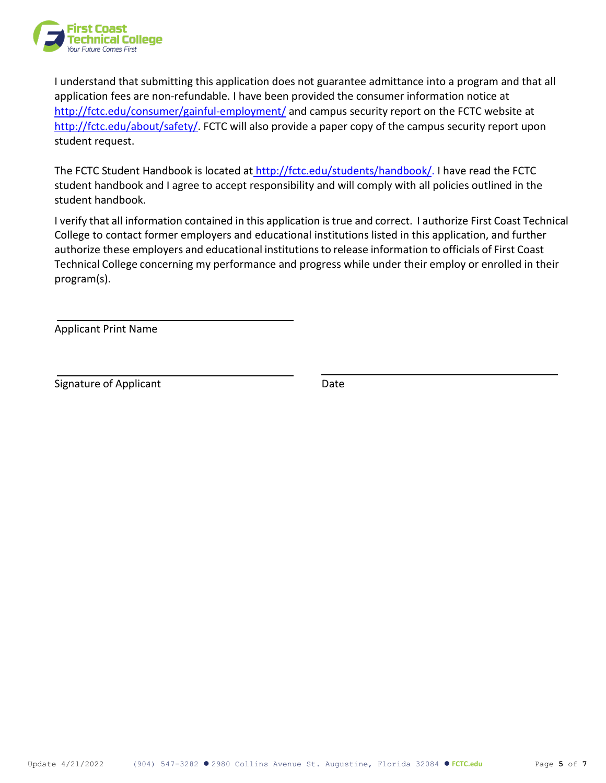

I understand that submitting this application does not guarantee admittance into a program and that all application fees are non-refundable. I have been provided the consumer information notice at <http://fctc.edu/consumer/gainful-employment/> and campus security report on the FCTC website a[t](http://fctc.edu/about/safety/) [http://fctc.edu/about/safety/.](http://fctc.edu/about/safety/) FCTC will also provide a paper copy of the campus security report upon student request.

The FCTC Student Handbook is located at [http://fctc.edu/students/handbook/. I](http://fctc.edu/students/handbook/) have read the FCTC student handbook and I agree to accept responsibility and will comply with all policies outlined in the student handbook.

I verify that all information contained in this application is true and correct. I authorize First Coast Technical College to contact former employers and educational institutions listed in this application, and further authorize these employers and educational institutionsto release information to officials of First Coast Technical College concerning my performance and progress while under their employ or enrolled in their program(s).

Applicant Print Name

Signature of Applicant **Date** Date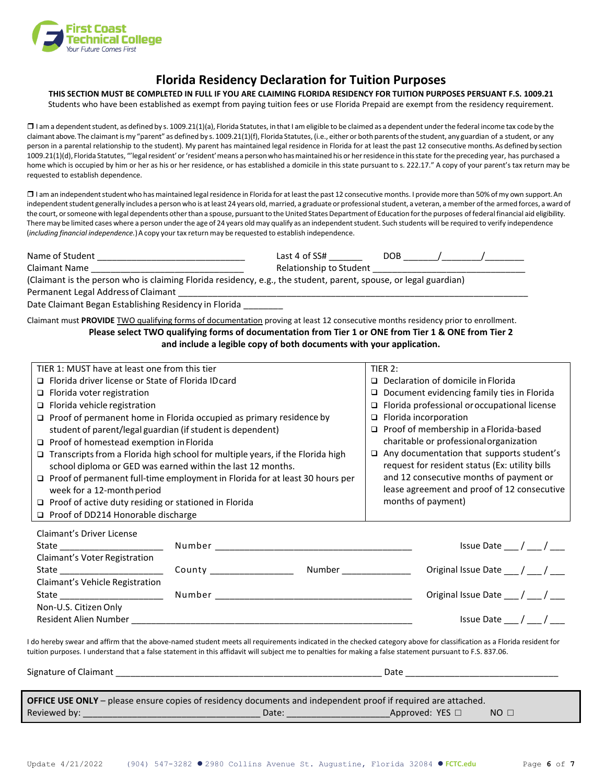

## **Florida Residency Declaration for Tuition Purposes**

### **THIS SECTION MUST BE COMPLETED IN FULL IF YOU ARE CLAIMING FLORIDA RESIDENCY FOR TUITION PURPOSES PERSUANT F.S. 1009.21**

Students who have been established as exempt from paying tuition fees or use Florida Prepaid are exempt from the residency requirement.

 $\square$  I am a dependent student, as defined by s. 1009.21(1)(a), Florida Statutes, in that I am eligible to be claimed as a dependent under the federal income tax code by the claimant above. The claimant is my "parent" as defined by s. 1009.21(1)(f), Florida Statutes, (i.e., either or both parents of the student, any guardian of a student, or any person in a parental relationship to the student). My parent has maintained legal residence in Florida for at least the past 12 consecutive months. As defined by section 1009.21(1)(d), Florida Statutes, "'legalresident'or'resident'means a person who hasmaintained his or herresidence in thisstate forthe preceding year, has purchased a home which is occupied by him or her as his or her residence, or has established a domicile in this state pursuant to s. 222.17." A copy of your parent's tax return may be requested to establish dependence.

□ I am an independent student who has maintained legal residence in Florida for at least the past 12 consecutive months. I provide more than 50% of my own support. An independent student generally includes a person who is at least 24 years old, married, a graduate or professional student, a veteran, a member of the armed forces, a ward of the court, or someone with legal dependents other than a spouse, pursuant to the United States Department of Education for the purposes of federal financial aid eligibility. There may be limited cases where a person under the age of 24 years old may qualify as an independent student. Such students will be required to verify independence (*including financial independence.*)Acopy yourtax return may be requested to establish independence.

| Name of Student                                                                                                  | Last 4 of SS#           | DOB |  |
|------------------------------------------------------------------------------------------------------------------|-------------------------|-----|--|
| Claimant Name                                                                                                    | Relationship to Student |     |  |
| (Claimant is the person who is claiming Florida residency, e.g., the student, parent, spouse, or legal guardian) |                         |     |  |
| Permanent Legal Address of Claimant                                                                              |                         |     |  |

Date Claimant Began Establishing Residency in Florida

Claimant must **PROVIDE** TWO qualifying forms of documentation proving at least 12 consecutive months residency prior to enrollment. **Please select TWO qualifying forms of documentation from Tier 1 or ONE from Tier 1 & ONE from Tier 2 and include a legible copy of both documents with your application.**

| TIER 1: MUST have at least one from this tier                                                                                                              |  |                                      | TIER $2:$                                      |                                                                                                                                                                       |  |  |  |  |
|------------------------------------------------------------------------------------------------------------------------------------------------------------|--|--------------------------------------|------------------------------------------------|-----------------------------------------------------------------------------------------------------------------------------------------------------------------------|--|--|--|--|
| □ Florida driver license or State of Florida ID card                                                                                                       |  | □ Declaration of domicile in Florida |                                                |                                                                                                                                                                       |  |  |  |  |
| $\Box$ Florida voter registration                                                                                                                          |  |                                      | Document evidencing family ties in Florida     |                                                                                                                                                                       |  |  |  |  |
| $\Box$ Florida vehicle registration                                                                                                                        |  |                                      |                                                | $\Box$ Florida professional or occupational license                                                                                                                   |  |  |  |  |
| $\Box$ Proof of permanent home in Florida occupied as primary residence by                                                                                 |  |                                      |                                                | $\Box$ Florida incorporation                                                                                                                                          |  |  |  |  |
| student of parent/legal guardian (if student is dependent)                                                                                                 |  |                                      |                                                | □ Proof of membership in a Florida-based                                                                                                                              |  |  |  |  |
| $\Box$ Proof of homestead exemption in Florida                                                                                                             |  |                                      |                                                | charitable or professional organization                                                                                                                               |  |  |  |  |
| $\Box$ Transcripts from a Florida high school for multiple years, if the Florida high                                                                      |  |                                      | $\Box$                                         | Any documentation that supports student's                                                                                                                             |  |  |  |  |
| school diploma or GED was earned within the last 12 months.                                                                                                |  |                                      | request for resident status (Ex: utility bills |                                                                                                                                                                       |  |  |  |  |
| $\Box$ Proof of permanent full-time employment in Florida for at least 30 hours per                                                                        |  |                                      |                                                | and 12 consecutive months of payment or                                                                                                                               |  |  |  |  |
| week for a 12-month period                                                                                                                                 |  |                                      |                                                | lease agreement and proof of 12 consecutive                                                                                                                           |  |  |  |  |
| $\Box$ Proof of active duty residing or stationed in Florida                                                                                               |  |                                      |                                                | months of payment)                                                                                                                                                    |  |  |  |  |
| □ Proof of DD214 Honorable discharge                                                                                                                       |  |                                      |                                                |                                                                                                                                                                       |  |  |  |  |
| Claimant's Driver License                                                                                                                                  |  |                                      |                                                |                                                                                                                                                                       |  |  |  |  |
| State ___________________________                                                                                                                          |  |                                      |                                                | Issue Date $\frac{1}{\sqrt{2}}$ / $\frac{1}{\sqrt{2}}$                                                                                                                |  |  |  |  |
| Claimant's Voter Registration                                                                                                                              |  |                                      |                                                |                                                                                                                                                                       |  |  |  |  |
|                                                                                                                                                            |  |                                      |                                                | Original Issue Date ___ / ___ / ___                                                                                                                                   |  |  |  |  |
| Claimant's Vehicle Registration                                                                                                                            |  |                                      |                                                |                                                                                                                                                                       |  |  |  |  |
|                                                                                                                                                            |  |                                      |                                                | Original Issue Date ___ / ___ / ___                                                                                                                                   |  |  |  |  |
| Non-U.S. Citizen Only                                                                                                                                      |  |                                      |                                                |                                                                                                                                                                       |  |  |  |  |
|                                                                                                                                                            |  |                                      |                                                | Issue Date / /                                                                                                                                                        |  |  |  |  |
|                                                                                                                                                            |  |                                      |                                                |                                                                                                                                                                       |  |  |  |  |
| tuition purposes. I understand that a false statement in this affidavit will subject me to penalties for making a false statement pursuant to F.S. 837.06. |  |                                      |                                                | I do hereby swear and affirm that the above-named student meets all requirements indicated in the checked category above for classification as a Florida resident for |  |  |  |  |
|                                                                                                                                                            |  |                                      |                                                |                                                                                                                                                                       |  |  |  |  |
|                                                                                                                                                            |  |                                      |                                                |                                                                                                                                                                       |  |  |  |  |
|                                                                                                                                                            |  |                                      |                                                |                                                                                                                                                                       |  |  |  |  |
| OFFICE USE ONLY - please ensure copies of residency documents and independent proof if required are attached.                                              |  |                                      |                                                |                                                                                                                                                                       |  |  |  |  |
|                                                                                                                                                            |  |                                      |                                                |                                                                                                                                                                       |  |  |  |  |

Reviewed by: \_\_\_\_\_\_\_\_\_\_\_\_\_\_\_\_\_\_\_\_\_\_\_\_\_\_\_\_\_\_\_\_\_\_\_\_ Date: \_\_\_\_\_\_\_\_\_\_\_\_\_\_\_\_\_\_\_\_\_Approved: YES **□** NO **□**